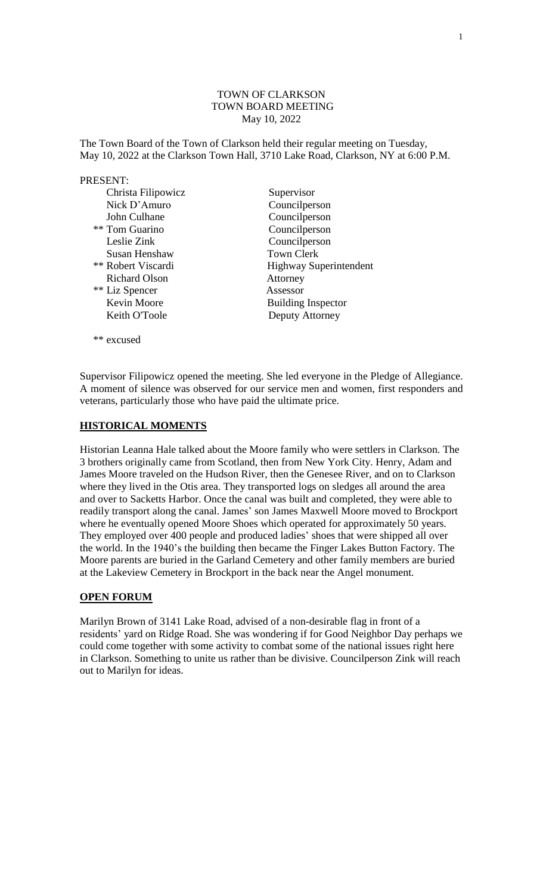# TOWN OF CLARKSON TOWN BOARD MEETING May 10, 2022

The Town Board of the Town of Clarkson held their regular meeting on Tuesday, May 10, 2022 at the Clarkson Town Hall, 3710 Lake Road, Clarkson, NY at 6:00 P.M.

## PRESENT:

| Christa Filipowicz        | Supervisor                    |
|---------------------------|-------------------------------|
| Nick D'Amuro              | Councilperson                 |
| John Culhane              | Councilperson                 |
| ** Tom Guarino            | Councilperson                 |
| Leslie Zink               | Councilperson                 |
| Susan Henshaw             | <b>Town Clerk</b>             |
| <b>** Robert Viscardi</b> | <b>Highway Superintendent</b> |
| <b>Richard Olson</b>      | Attorney                      |
| ** Liz Spencer            | Assessor                      |
| Kevin Moore               | <b>Building Inspector</b>     |
| Keith O'Toole             | Deputy Attorney               |
|                           |                               |

Supervisor Filipowicz opened the meeting. She led everyone in the Pledge of Allegiance. A moment of silence was observed for our service men and women, first responders and veterans, particularly those who have paid the ultimate price.

# **HISTORICAL MOMENTS**

\*\* excused

Historian Leanna Hale talked about the Moore family who were settlers in Clarkson. The 3 brothers originally came from Scotland, then from New York City. Henry, Adam and James Moore traveled on the Hudson River, then the Genesee River, and on to Clarkson where they lived in the Otis area. They transported logs on sledges all around the area and over to Sacketts Harbor. Once the canal was built and completed, they were able to readily transport along the canal. James' son James Maxwell Moore moved to Brockport where he eventually opened Moore Shoes which operated for approximately 50 years. They employed over 400 people and produced ladies' shoes that were shipped all over the world. In the 1940's the building then became the Finger Lakes Button Factory. The Moore parents are buried in the Garland Cemetery and other family members are buried at the Lakeview Cemetery in Brockport in the back near the Angel monument.

# **OPEN FORUM**

Marilyn Brown of 3141 Lake Road, advised of a non-desirable flag in front of a residents' yard on Ridge Road. She was wondering if for Good Neighbor Day perhaps we could come together with some activity to combat some of the national issues right here in Clarkson. Something to unite us rather than be divisive. Councilperson Zink will reach out to Marilyn for ideas.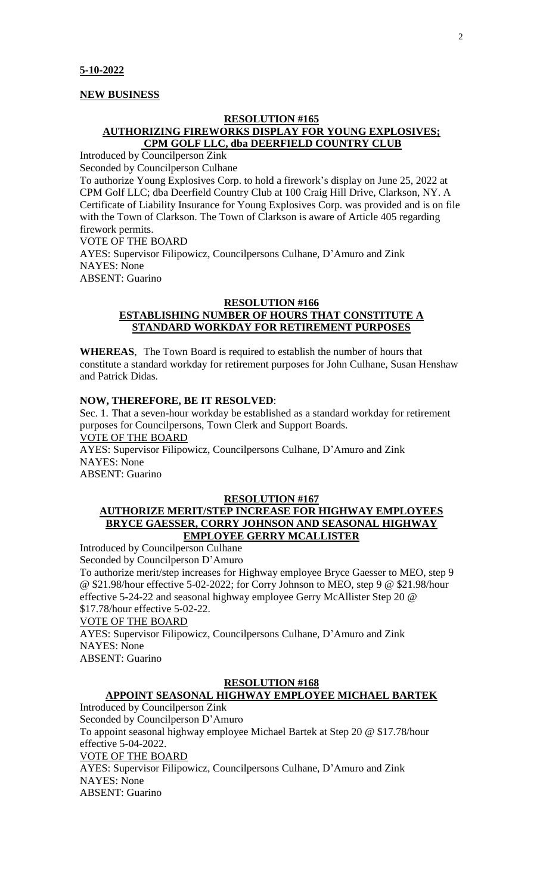## **NEW BUSINESS**

# **RESOLUTION #165 AUTHORIZING FIREWORKS DISPLAY FOR YOUNG EXPLOSIVES; CPM GOLF LLC, dba DEERFIELD COUNTRY CLUB**

Introduced by Councilperson Zink Seconded by Councilperson Culhane

To authorize Young Explosives Corp. to hold a firework's display on June 25, 2022 at CPM Golf LLC; dba Deerfield Country Club at 100 Craig Hill Drive, Clarkson, NY. A Certificate of Liability Insurance for Young Explosives Corp. was provided and is on file with the Town of Clarkson. The Town of Clarkson is aware of Article 405 regarding firework permits. VOTE OF THE BOARD

AYES: Supervisor Filipowicz, Councilpersons Culhane, D'Amuro and Zink NAYES: None ABSENT: Guarino

# **RESOLUTION #166 ESTABLISHING NUMBER OF HOURS THAT CONSTITUTE A STANDARD WORKDAY FOR RETIREMENT PURPOSES**

**WHEREAS**, The Town Board is required to establish the number of hours that constitute a standard workday for retirement purposes for John Culhane, Susan Henshaw and Patrick Didas.

# **NOW, THEREFORE, BE IT RESOLVED**:

Sec. 1. That a seven-hour workday be established as a standard workday for retirement purposes for Councilpersons, Town Clerk and Support Boards. VOTE OF THE BOARD AYES: Supervisor Filipowicz, Councilpersons Culhane, D'Amuro and Zink NAYES: None

ABSENT: Guarino

# **RESOLUTION #167**

# **AUTHORIZE MERIT/STEP INCREASE FOR HIGHWAY EMPLOYEES BRYCE GAESSER, CORRY JOHNSON AND SEASONAL HIGHWAY EMPLOYEE GERRY MCALLISTER**

Introduced by Councilperson Culhane Seconded by Councilperson D'Amuro To authorize merit/step increases for Highway employee Bryce Gaesser to MEO, step 9 @ \$21.98/hour effective 5-02-2022; for Corry Johnson to MEO, step 9 @ \$21.98/hour effective 5-24-22 and seasonal highway employee Gerry McAllister Step 20 @ \$17.78/hour effective 5-02-22.

# VOTE OF THE BOARD

AYES: Supervisor Filipowicz, Councilpersons Culhane, D'Amuro and Zink NAYES: None ABSENT: Guarino

# **RESOLUTION #168**

# **APPOINT SEASONAL HIGHWAY EMPLOYEE MICHAEL BARTEK**

Introduced by Councilperson Zink Seconded by Councilperson D'Amuro To appoint seasonal highway employee Michael Bartek at Step 20 @ \$17.78/hour effective 5-04-2022. VOTE OF THE BOARD AYES: Supervisor Filipowicz, Councilpersons Culhane, D'Amuro and Zink NAYES: None ABSENT: Guarino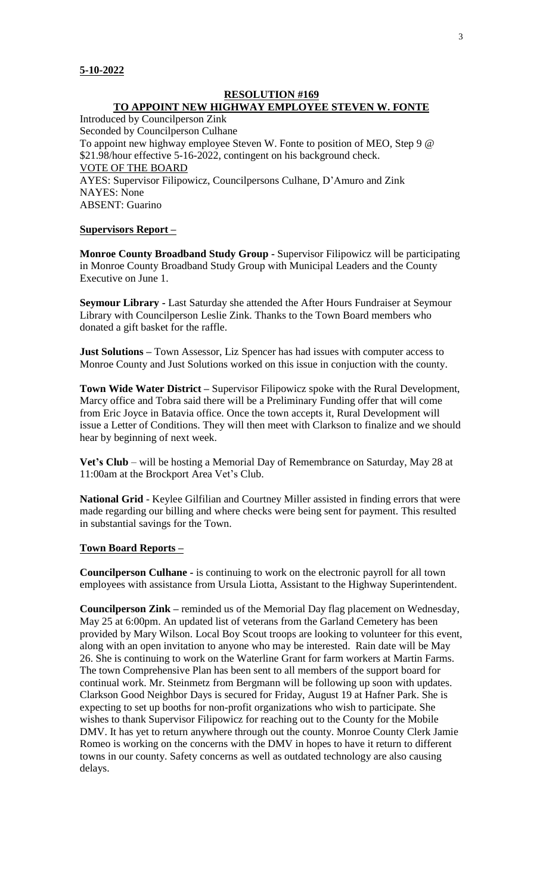# **RESOLUTION #169 TO APPOINT NEW HIGHWAY EMPLOYEE STEVEN W. FONTE**

Introduced by Councilperson Zink

Seconded by Councilperson Culhane To appoint new highway employee Steven W. Fonte to position of MEO, Step 9 @ \$21.98/hour effective 5-16-2022, contingent on his background check. VOTE OF THE BOARD AYES: Supervisor Filipowicz, Councilpersons Culhane, D'Amuro and Zink NAYES: None ABSENT: Guarino

# **Supervisors Report –**

**Monroe County Broadband Study Group -** Supervisor Filipowicz will be participating in Monroe County Broadband Study Group with Municipal Leaders and the County Executive on June 1.

**Seymour Library -** Last Saturday she attended the After Hours Fundraiser at Seymour Library with Councilperson Leslie Zink. Thanks to the Town Board members who donated a gift basket for the raffle.

**Just Solutions –** Town Assessor, Liz Spencer has had issues with computer access to Monroe County and Just Solutions worked on this issue in conjuction with the county.

**Town Wide Water District –** Supervisor Filipowicz spoke with the Rural Development, Marcy office and Tobra said there will be a Preliminary Funding offer that will come from Eric Joyce in Batavia office. Once the town accepts it, Rural Development will issue a Letter of Conditions. They will then meet with Clarkson to finalize and we should hear by beginning of next week.

**Vet's Club** – will be hosting a Memorial Day of Remembrance on Saturday, May 28 at 11:00am at the Brockport Area Vet's Club.

**National Grid** - Keylee Gilfilian and Courtney Miller assisted in finding errors that were made regarding our billing and where checks were being sent for payment. This resulted in substantial savings for the Town.

# **Town Board Reports –**

**Councilperson Culhane -** is continuing to work on the electronic payroll for all town employees with assistance from Ursula Liotta, Assistant to the Highway Superintendent.

**Councilperson Zink –** reminded us of the Memorial Day flag placement on Wednesday, May 25 at 6:00pm. An updated list of veterans from the Garland Cemetery has been provided by Mary Wilson. Local Boy Scout troops are looking to volunteer for this event, along with an open invitation to anyone who may be interested. Rain date will be May 26. She is continuing to work on the Waterline Grant for farm workers at Martin Farms. The town Comprehensive Plan has been sent to all members of the support board for continual work. Mr. Steinmetz from Bergmann will be following up soon with updates. Clarkson Good Neighbor Days is secured for Friday, August 19 at Hafner Park. She is expecting to set up booths for non-profit organizations who wish to participate. She wishes to thank Supervisor Filipowicz for reaching out to the County for the Mobile DMV. It has yet to return anywhere through out the county. Monroe County Clerk Jamie Romeo is working on the concerns with the DMV in hopes to have it return to different towns in our county. Safety concerns as well as outdated technology are also causing delays.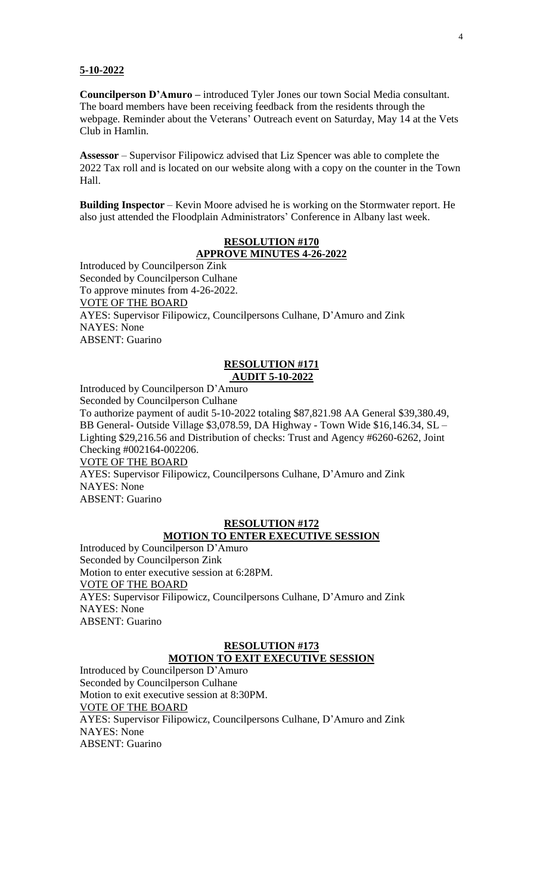## **5-10-2022**

**Councilperson D'Amuro –** introduced Tyler Jones our town Social Media consultant. The board members have been receiving feedback from the residents through the webpage. Reminder about the Veterans' Outreach event on Saturday, May 14 at the Vets Club in Hamlin.

**Assessor** – Supervisor Filipowicz advised that Liz Spencer was able to complete the 2022 Tax roll and is located on our website along with a copy on the counter in the Town Hall.

**Building Inspector** – Kevin Moore advised he is working on the Stormwater report. He also just attended the Floodplain Administrators' Conference in Albany last week.

# **RESOLUTION #170 APPROVE MINUTES 4-26-2022**

Introduced by Councilperson Zink Seconded by Councilperson Culhane To approve minutes from 4-26-2022. VOTE OF THE BOARD AYES: Supervisor Filipowicz, Councilpersons Culhane, D'Amuro and Zink NAYES: None ABSENT: Guarino

# **RESOLUTION #171 AUDIT 5-10-2022**

Introduced by Councilperson D'Amuro

Seconded by Councilperson Culhane

To authorize payment of audit 5-10-2022 totaling \$87,821.98 AA General \$39,380.49, BB General- Outside Village \$3,078.59, DA Highway - Town Wide \$16,146.34, SL – Lighting \$29,216.56 and Distribution of checks: Trust and Agency #6260-6262, Joint Checking #002164-002206.

VOTE OF THE BOARD

AYES: Supervisor Filipowicz, Councilpersons Culhane, D'Amuro and Zink NAYES: None ABSENT: Guarino

# **RESOLUTION #172 MOTION TO ENTER EXECUTIVE SESSION**

Introduced by Councilperson D'Amuro Seconded by Councilperson Zink Motion to enter executive session at 6:28PM. VOTE OF THE BOARD AYES: Supervisor Filipowicz, Councilpersons Culhane, D'Amuro and Zink NAYES: None ABSENT: Guarino

# **RESOLUTION #173**

# **MOTION TO EXIT EXECUTIVE SESSION**

Introduced by Councilperson D'Amuro Seconded by Councilperson Culhane Motion to exit executive session at 8:30PM. VOTE OF THE BOARD AYES: Supervisor Filipowicz, Councilpersons Culhane, D'Amuro and Zink NAYES: None ABSENT: Guarino